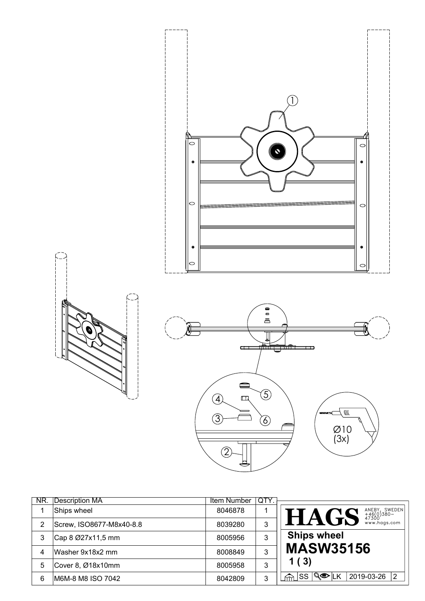





| NR. | Description MA           | Item Number | QTY. |                                                                     |
|-----|--------------------------|-------------|------|---------------------------------------------------------------------|
|     | Ships wheel              | 8046878     |      | ANEBY, SWEDEN<br>+46(0)380-<br>47300<br>www.hags.com<br><b>HAGS</b> |
| 2   | Screw, ISO8677-M8x40-8.8 | 8039280     | 3    |                                                                     |
| 3   | Cap 8 Ø27x11,5 mm        | 8005956     | 3    | <b>Ships wheel</b>                                                  |
| 4   | Washer 9x18x2 mm         | 8008849     | 3    | <b>MASW35156</b>                                                    |
| 5   | Cover 8, Ø18x10mm        | 8005958     | 3    | 1(3)                                                                |
| 6   | M6M-8 M8 ISO 7042        | 8042809     | 3    | $\sqrt{Q}$ $\sqrt{K}$<br> SS <br>2019-03-26<br> 2<br>क़             |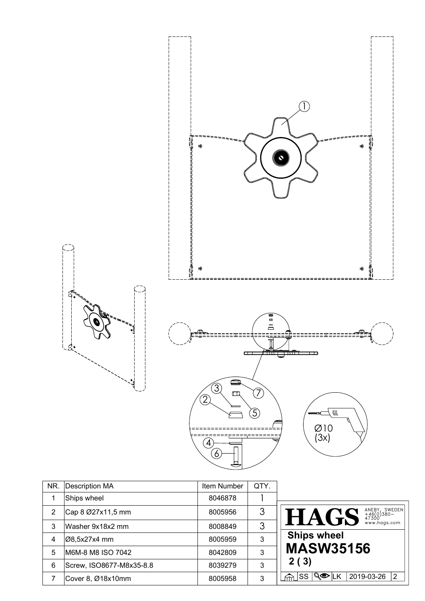

| NR. | Description MA           | Item Number | QTY. |                                                                     |
|-----|--------------------------|-------------|------|---------------------------------------------------------------------|
|     | Ships wheel              | 8046878     |      |                                                                     |
| 2   | Cap 8 Ø27x11,5 mm        | 8005956     | 3    | ANEBY, SWEDEN<br>+46(0)380-<br>47300<br>www.hags.com<br><b>HAGS</b> |
| 3   | Washer 9x18x2 mm         | 8008849     | 3    |                                                                     |
| 4   | ∣Ø8,5x27x4 mm            | 8005959     | 3    | <b>Ships wheel</b>                                                  |
| 5   | M6M-8 M8 ISO 7042        | 8042809     | 3    | <b>MASW35156</b>                                                    |
| 6   | Screw, ISO8677-M8x35-8.8 | 8039279     | 3    | 2(3)                                                                |
|     | Cover 8, Ø18x10mm        | 8005958     | 3    | 2<br> SS <br>୍ଷ∕®ା∟K<br>2019-03-26                                  |

j 요